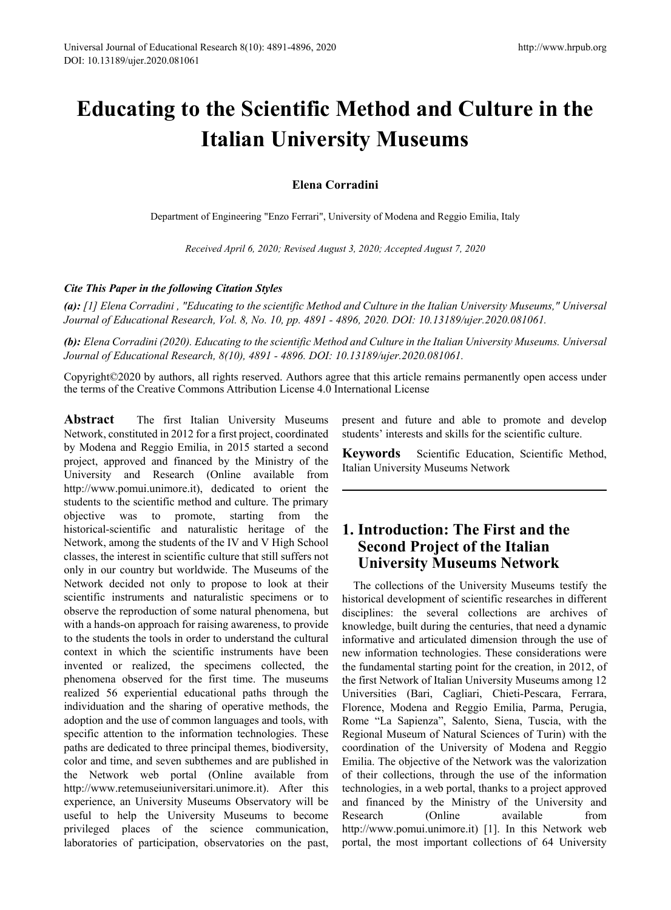# **Educating to the Scientific Method and Culture in the Italian University Museums**

#### **Elena Corradini**

Department of Engineering "Enzo Ferrari", University of Modena and Reggio Emilia, Italy

*Received April 6, 2020; Revised August 3, 2020; Accepted August 7, 2020*

#### *Cite This Paper in the following Citation Styles*

*(a): [1] Elena Corradini , "Educating to the scientific Method and Culture in the Italian University Museums," Universal Journal of Educational Research, Vol. 8, No. 10, pp. 4891 - 4896, 2020. DOI: 10.13189/ujer.2020.081061.* 

*(b): Elena Corradini (2020). Educating to the scientific Method and Culture in the Italian University Museums. Universal Journal of Educational Research, 8(10), 4891 - 4896. DOI: 10.13189/ujer.2020.081061.* 

Copyright©2020 by authors, all rights reserved. Authors agree that this article remains permanently open access under the terms of the Creative Commons Attribution License 4.0 International License

**Abstract** The first Italian University Museums Network, constituted in 2012 for a first project, coordinated by Modena and Reggio Emilia, in 2015 started a second project, approved and financed by the Ministry of the University and Research (Online available from http:/[/www.pomui.unimore.it\)](http://www.pomui.unimore.it/), dedicated to orient the students to the scientific method and culture. The primary objective was to promote, starting from the historical-scientific and naturalistic heritage of the Network, among the students of the IV and V High School classes, the interest in scientific culture that still suffers not only in our country but worldwide. The Museums of the Network decided not only to propose to look at their scientific instruments and naturalistic specimens or to observe the reproduction of some natural phenomena, but with a hands-on approach for raising awareness, to provide to the students the tools in order to understand the cultural context in which the scientific instruments have been invented or realized, the specimens collected, the phenomena observed for the first time. The museums realized 56 experiential educational paths through the individuation and the sharing of operative methods, the adoption and the use of common languages and tools, with specific attention to the information technologies. These paths are dedicated to three principal themes, biodiversity, color and time, and seven subthemes and are published in the Network web portal (Online available from http:/[/www.retemuseiuniversitari.unimore.it\)](http://www.retemuseiuniversitari.unimore.it/). After this experience, an University Museums Observatory will be useful to help the University Museums to become privileged places of the science communication, laboratories of participation, observatories on the past,

present and future and able to promote and develop students' interests and skills for the scientific culture.

**Keywords** Scientific Education, Scientific Method, Italian University Museums Network

## **1. Introduction: The First and the Second Project of the Italian University Museums Network**

The collections of the University Museums testify the historical development of scientific researches in different disciplines: the several collections are archives of knowledge, built during the centuries, that need a dynamic informative and articulated dimension through the use of new information technologies. These considerations were the fundamental starting point for the creation, in 2012, of the first Network of Italian University Museums among 12 Universities (Bari, Cagliari, Chieti-Pescara, Ferrara, Florence, Modena and Reggio Emilia, Parma, Perugia, Rome "La Sapienza", Salento, Siena, Tuscia, with the Regional Museum of Natural Sciences of Turin) with the coordination of the University of Modena and Reggio Emilia. The objective of the Network was the valorization of their collections, through the use of the information technologies, in a web portal, thanks to a project approved and financed by the Ministry of the University and Research (Online available from [http://www.pomui.unimore.it\)](http://www.pomui.unimore.it/) [1]. In this Network web portal, the most important collections of 64 University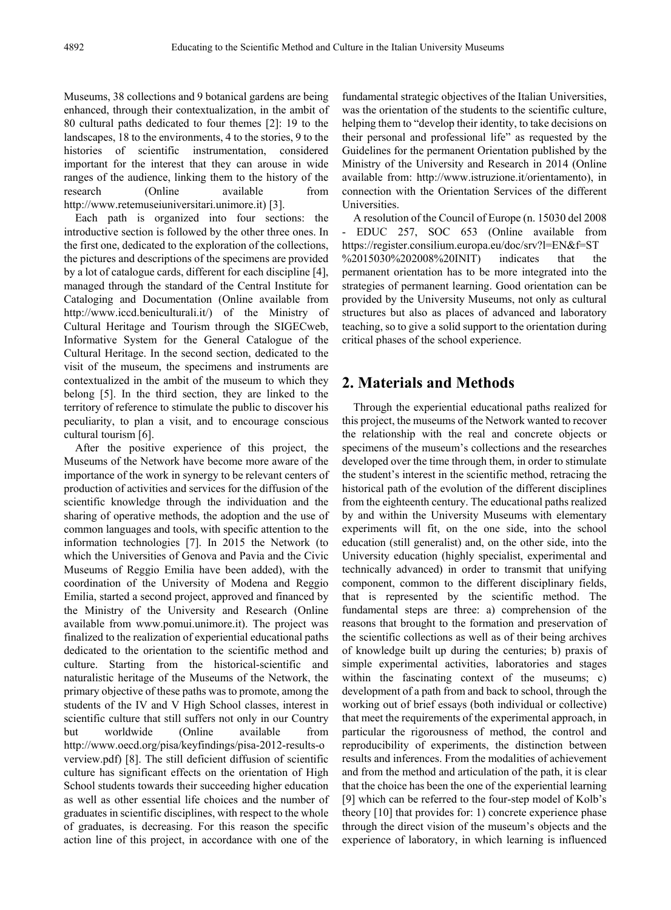Museums, 38 collections and 9 botanical gardens are being enhanced, through their contextualization, in the ambit of 80 cultural paths dedicated to four themes [2]: 19 to the landscapes, 18 to the environments, 4 to the stories, 9 to the histories of scientific instrumentation, considered important for the interest that they can arouse in wide ranges of the audience, linking them to the history of the research (Online available from [http://www.retemuseiuniversitari.unimore.it\)](http://www.retemuseiuniversitari.unimore.it/) [3].

Each path is organized into four sections: the introductive section is followed by the other three ones. In the first one, dedicated to the exploration of the collections, the pictures and descriptions of the specimens are provided by a lot of catalogue cards, different for each discipline [4], managed through the standard of the Central Institute for Cataloging and Documentation (Online available from [http://www.iccd.beniculturali.it/\)](http://www.iccd.beniculturali.it/) of the Ministry of Cultural Heritage and Tourism through the SIGECweb, Informative System for the General Catalogue of the Cultural Heritage. In the second section, dedicated to the visit of the museum, the specimens and instruments are contextualized in the ambit of the museum to which they belong [5]. In the third section, they are linked to the territory of reference to stimulate the public to discover his peculiarity, to plan a visit, and to encourage conscious cultural tourism [6].

After the positive experience of this project, the Museums of the Network have become more aware of the importance of the work in synergy to be relevant centers of production of activities and services for the diffusion of the scientific knowledge through the individuation and the sharing of operative methods, the adoption and the use of common languages and tools, with specific attention to the information technologies [7]. In 2015 the Network (to which the Universities of Genova and Pavia and the Civic Museums of Reggio Emilia have been added), with the coordination of the University of Modena and Reggio Emilia, started a second project, approved and financed by the Ministry of the University and Research (Online available from [www.pomui.unimore.it\)](http://www.pomui.unimore.it/). The project was finalized to the realization of experiential educational paths dedicated to the orientation to the scientific method and culture. Starting from the historical-scientific and naturalistic heritage of the Museums of the Network, the primary objective of these paths was to promote, among the students of the IV and V High School classes, interest in scientific culture that still suffers not only in our Country but worldwide (Online available from [http://www.oecd.org/pisa/keyfindings/pisa-2012-results-o](http://www.oecd.org/pisa/keyfindings/pisa-2012-results-overview.pdf) [verview.pdf\)](http://www.oecd.org/pisa/keyfindings/pisa-2012-results-overview.pdf) [8]. The still deficient diffusion of scientific culture has significant effects on the orientation of High School students towards their succeeding higher education as well as other essential life choices and the number of graduates in scientific disciplines, with respect to the whole of graduates, is decreasing. For this reason the specific action line of this project, in accordance with one of the

fundamental strategic objectives of the Italian Universities, was the orientation of the students to the scientific culture, helping them to "develop their identity, to take decisions on their personal and professional life" as requested by the Guidelines for the permanent Orientation published by the Ministry of the University and Research in 2014 (Online available from: [http://www.istruzione.it/orientamento\)](http://www.istruzione.it/orientamento), in connection with the Orientation Services of the different Universities.

A resolution of the Council of Europe (n. 15030 del 2008 - EDUC 257, SOC 653 (Online available from [https://register.consilium.europa.eu/doc/srv?l=EN&f=ST](https://register.consilium.europa.eu/doc/srv?l=EN&f=ST%2015030%202008%20INIT) [%2015030%202008%20INIT\)](https://register.consilium.europa.eu/doc/srv?l=EN&f=ST%2015030%202008%20INIT) indicates that the permanent orientation has to be more integrated into the strategies of permanent learning. Good orientation can be provided by the University Museums, not only as cultural structures but also as places of advanced and laboratory teaching, so to give a solid support to the orientation during critical phases of the school experience.

#### **2. Materials and Methods**

Through the experiential educational paths realized for this project, the museums of the Network wanted to recover the relationship with the real and concrete objects or specimens of the museum's collections and the researches developed over the time through them, in order to stimulate the student's interest in the scientific method, retracing the historical path of the evolution of the different disciplines from the eighteenth century. The educational paths realized by and within the University Museums with elementary experiments will fit, on the one side, into the school education (still generalist) and, on the other side, into the University education (highly specialist, experimental and technically advanced) in order to transmit that unifying component, common to the different disciplinary fields, that is represented by the scientific method. The fundamental steps are three: a) comprehension of the reasons that brought to the formation and preservation of the scientific collections as well as of their being archives of knowledge built up during the centuries; b) praxis of simple experimental activities, laboratories and stages within the fascinating context of the museums; c) development of a path from and back to school, through the working out of brief essays (both individual or collective) that meet the requirements of the experimental approach, in particular the rigorousness of method, the control and reproducibility of experiments, the distinction between results and inferences. From the modalities of achievement and from the method and articulation of the path, it is clear that the choice has been the one of the experiential learning [9] which can be referred to the four-step model of Kolb's theory [10] that provides for: 1) concrete experience phase through the direct vision of the museum's objects and the experience of laboratory, in which learning is influenced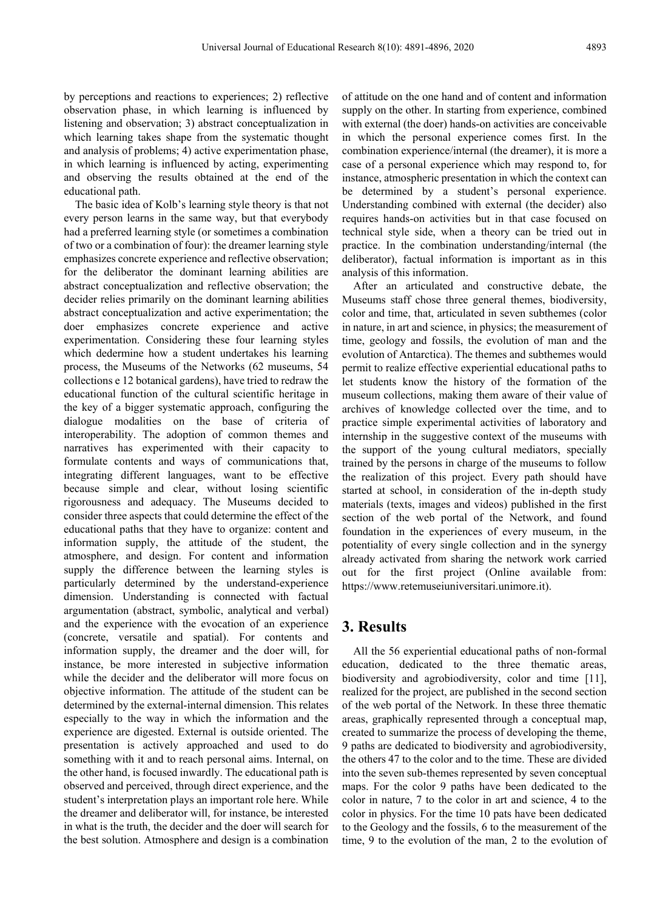by perceptions and reactions to experiences; 2) reflective observation phase, in which learning is influenced by listening and observation; 3) abstract conceptualization in which learning takes shape from the systematic thought and analysis of problems; 4) active experimentation phase, in which learning is influenced by acting, experimenting and observing the results obtained at the end of the educational path.

The basic idea of Kolb's learning style theory is that not every person learns in the same way, but that everybody had a preferred learning style (or sometimes a combination of two or a combination of four): the dreamer learning style emphasizes concrete experience and reflective observation; for the deliberator the dominant learning abilities are abstract conceptualization and reflective observation; the decider relies primarily on the dominant learning abilities abstract conceptualization and active experimentation; the doer emphasizes concrete experience and active experimentation. Considering these four learning styles which dedermine how a student undertakes his learning process, the Museums of the Networks (62 museums, 54 collections e 12 botanical gardens), have tried to redraw the educational function of the cultural scientific heritage in the key of a bigger systematic approach, configuring the dialogue modalities on the base of criteria of interoperability. The adoption of common themes and narratives has experimented with their capacity to formulate contents and ways of communications that, integrating different languages, want to be effective because simple and clear, without losing scientific rigorousness and adequacy. The Museums decided to consider three aspects that could determine the effect of the educational paths that they have to organize: content and information supply, the attitude of the student, the atmosphere, and design. For content and information supply the difference between the learning styles is particularly determined by the understand-experience dimension. Understanding is connected with factual argumentation (abstract, symbolic, analytical and verbal) and the experience with the evocation of an experience (concrete, versatile and spatial). For contents and information supply, the dreamer and the doer will, for instance, be more interested in subjective information while the decider and the deliberator will more focus on objective information. The attitude of the student can be determined by the external-internal dimension. This relates especially to the way in which the information and the experience are digested. External is outside oriented. The presentation is actively approached and used to do something with it and to reach personal aims. Internal, on the other hand, is focused inwardly. The educational path is observed and perceived, through direct experience, and the student's interpretation plays an important role here. While the dreamer and deliberator will, for instance, be interested in what is the truth, the decider and the doer will search for the best solution. Atmosphere and design is a combination

of attitude on the one hand and of content and information supply on the other. In starting from experience, combined with external (the doer) hands-on activities are conceivable in which the personal experience comes first. In the combination experience/internal (the dreamer), it is more a case of a personal experience which may respond to, for instance, atmospheric presentation in which the context can be determined by a student's personal experience. Understanding combined with external (the decider) also requires hands-on activities but in that case focused on technical style side, when a theory can be tried out in practice. In the combination understanding/internal (the deliberator), factual information is important as in this analysis of this information.

After an articulated and constructive debate, the Museums staff chose three general themes, biodiversity, color and time, that, articulated in seven subthemes (color in nature, in art and science, in physics; the measurement of time, geology and fossils, the evolution of man and the evolution of Antarctica). The themes and subthemes would permit to realize effective experiential educational paths to let students know the history of the formation of the museum collections, making them aware of their value of archives of knowledge collected over the time, and to practice simple experimental activities of laboratory and internship in the suggestive context of the museums with the support of the young cultural mediators, specially trained by the persons in charge of the museums to follow the realization of this project. Every path should have started at school, in consideration of the in-depth study materials (texts, images and videos) published in the first section of the web portal of the Network, and found foundation in the experiences of every museum, in the potentiality of every single collection and in the synergy already activated from sharing the network work carried out for the first project (Online available from: [https://www](https://www.coe.int/en/web/culture-and-heritage/strategy-21).retemuseiuniversitari.unimore.it).

#### **3. Results**

All the 56 experiential educational paths of non-formal education, dedicated to the three thematic areas, biodiversity and agrobiodiversity, color and time [11], realized for the project, are published in the second section of the web portal of the Network. In these three thematic areas, graphically represented through a conceptual map, created to summarize the process of developing the theme, 9 paths are dedicated to biodiversity and agrobiodiversity, the others 47 to the color and to the time. These are divided into the seven sub-themes represented by seven conceptual maps. For the color 9 paths have been dedicated to the color in nature, 7 to the color in art and science, 4 to the color in physics. For the time 10 pats have been dedicated to the Geology and the fossils, 6 to the measurement of the time, 9 to the evolution of the man, 2 to the evolution of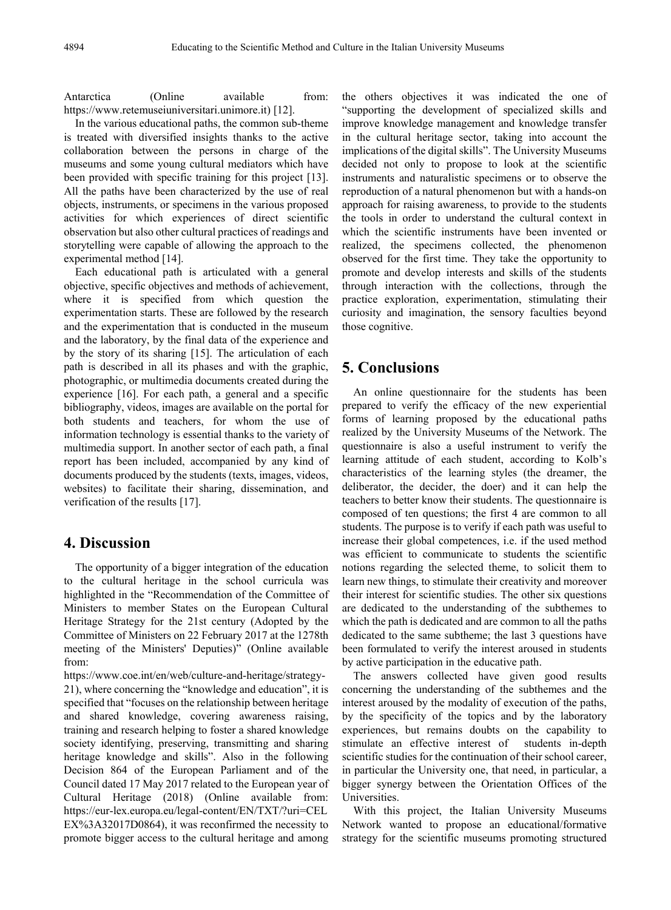Antarctica (Online available from: [https://www](https://www.coe.int/en/web/culture-and-heritage/strategy-21).retemuseiuniversitari.unimore.it) [12].

In the various educational paths, the common sub-theme is treated with diversified insights thanks to the active collaboration between the persons in charge of the museums and some young cultural mediators which have been provided with specific training for this project [13]. All the paths have been characterized by the use of real objects, instruments, or specimens in the various proposed activities for which experiences of direct scientific observation but also other cultural practices of readings and storytelling were capable of allowing the approach to the experimental method [14].

Each educational path is articulated with a general objective, specific objectives and methods of achievement, where it is specified from which question the experimentation starts. These are followed by the research and the experimentation that is conducted in the museum and the laboratory, by the final data of the experience and by the story of its sharing [15]. The articulation of each path is described in all its phases and with the graphic, photographic, or multimedia documents created during the experience [16]. For each path, a general and a specific bibliography, videos, images are available on the portal for both students and teachers, for whom the use of information technology is essential thanks to the variety of multimedia support. In another sector of each path, a final report has been included, accompanied by any kind of documents produced by the students (texts, images, videos, websites) to facilitate their sharing, dissemination, and verification of the results [17].

#### **4. Discussion**

The opportunity of a bigger integration of the education to the cultural heritage in the school curricula was highlighted in the "Recommendation of the Committee of Ministers to member States on the European Cultural Heritage Strategy for the 21st century (Adopted by the Committee of Ministers on 22 February 2017 at the 1278th meeting of the Ministers' Deputies)" (Online available from:

[https://www.coe.int/en/web/culture-and-heritage/strategy-](https://www.coe.int/en/web/culture-and-heritage/strategy-21)[21\)](https://www.coe.int/en/web/culture-and-heritage/strategy-21), where concerning the "knowledge and education", it is specified that "focuses on the relationship between heritage and shared knowledge, covering awareness raising, training and research helping to foster a shared knowledge society identifying, preserving, transmitting and sharing heritage knowledge and skills". Also in the following Decision 864 of the European Parliament and of the Council dated 17 May 2017 related to the European year of Cultural Heritage (2018) (Online available from: [https://eur-lex.europa.eu/legal-content/EN/TXT/?uri=CEL](https://eur-lex.europa.eu/legal-content/EN/TXT/?uri=CELEX%3A32017D0864) [EX%3A32017D0864\)](https://eur-lex.europa.eu/legal-content/EN/TXT/?uri=CELEX%3A32017D0864), it was reconfirmed the necessity to promote bigger access to the cultural heritage and among

the others objectives it was indicated the one of "supporting the development of specialized skills and improve knowledge management and knowledge transfer in the cultural heritage sector, taking into account the implications of the digital skills". The University Museums decided not only to propose to look at the scientific instruments and naturalistic specimens or to observe the reproduction of a natural phenomenon but with a hands-on approach for raising awareness, to provide to the students the tools in order to understand the cultural context in which the scientific instruments have been invented or realized, the specimens collected, the phenomenon observed for the first time. They take the opportunity to promote and develop interests and skills of the students through interaction with the collections, through the practice exploration, experimentation, stimulating their curiosity and imagination, the sensory faculties beyond those cognitive.

### **5. Conclusions**

An online questionnaire for the students has been prepared to verify the efficacy of the new experiential forms of learning proposed by the educational paths realized by the University Museums of the Network. The questionnaire is also a useful instrument to verify the learning attitude of each student, according to Kolb's characteristics of the learning styles (the dreamer, the deliberator, the decider, the doer) and it can help the teachers to better know their students. The questionnaire is composed of ten questions; the first 4 are common to all students. The purpose is to verify if each path was useful to increase their global competences, i.e. if the used method was efficient to communicate to students the scientific notions regarding the selected theme, to solicit them to learn new things, to stimulate their creativity and moreover their interest for scientific studies. The other six questions are dedicated to the understanding of the subthemes to which the path is dedicated and are common to all the paths dedicated to the same subtheme; the last 3 questions have been formulated to verify the interest aroused in students by active participation in the educative path.

The answers collected have given good results concerning the understanding of the subthemes and the interest aroused by the modality of execution of the paths, by the specificity of the topics and by the laboratory experiences, but remains doubts on the capability to stimulate an effective interest of students in-depth scientific studies for the continuation of their school career, in particular the University one, that need, in particular, a bigger synergy between the Orientation Offices of the Universities.

With this project, the Italian University Museums Network wanted to propose an educational/formative strategy for the scientific museums promoting structured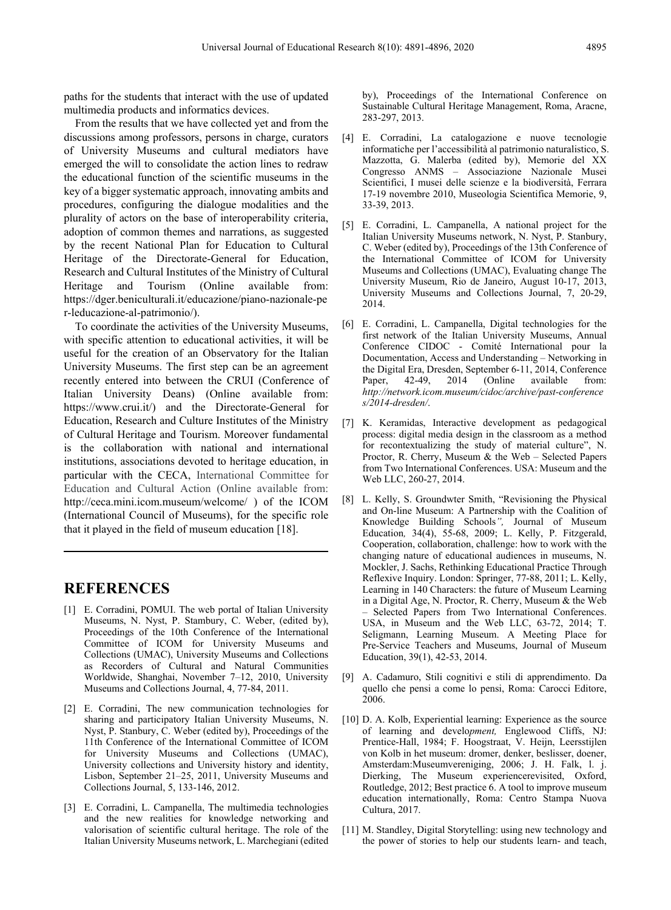paths for the students that interact with the use of updated multimedia products and informatics devices.

From the results that we have collected yet and from the discussions among professors, persons in charge, curators of University Museums and cultural mediators have emerged the will to consolidate the action lines to redraw the educational function of the scientific museums in the key of a bigger systematic approach, innovating ambits and procedures, configuring the dialogue modalities and the plurality of actors on the base of interoperability criteria, adoption of common themes and narrations, as suggested by the recent National Plan for Education to Cultural Heritage of the Directorate-General for Education, Research and Cultural Institutes of the Ministry of Cultural Heritage and Tourism (Online available from: [https://dger.beniculturali.it/educazione/piano-nazionale-pe](https://dger.beniculturali.it/educazione/piano-nazionale-per-leducazione-al-patrimonio/) [r-leducazione-al-patrimonio/\)](https://dger.beniculturali.it/educazione/piano-nazionale-per-leducazione-al-patrimonio/).

To coordinate the activities of the University Museums, with specific attention to educational activities, it will be useful for the creation of an Observatory for the Italian University Museums. The first step can be an agreement recently entered into between the CRUI (Conference of Italian University Deans) (Online available from: [https://www.crui.it/\)](https://www.crui.it/) and the Directorate-General for Education, Research and Culture Institutes of the Ministry of Cultural Heritage and Tourism. Moreover fundamental is the collaboration with national and international institutions, associations devoted to heritage education, in particular with the CECA, International Committee for Education and Cultural Action (Online available from: <http://ceca.mini.icom.museum/welcome/> ) of the ICOM (International Council of Museums), for the specific role that it played in the field of museum education [18].

#### **REFERENCES**

- [1] E. Corradini, POMUI. The web portal of Italian University Museums, N. Nyst, P. Stambury, C. Weber, (edited by), Proceedings of the 10th Conference of the International Committee of ICOM for University Museums and Collections (UMAC), University Museums and Collections as Recorders of Cultural and Natural Communities Worldwide, Shanghai, November 7–12, 2010, University Museums and Collections Journal, 4, 77-84, 2011.
- [2] E. Corradini, The new communication technologies for sharing and participatory Italian University Museums, N. Nyst, P. Stanbury, C. Weber (edited by), Proceedings of the 11th Conference of the International Committee of ICOM for University Museums and Collections (UMAC), University collections and University history and identity, Lisbon, September 21–25, 2011, University Museums and Collections Journal, 5, 133-146, 2012.
- [3] E. Corradini, L. Campanella, The multimedia technologies and the new realities for knowledge networking and valorisation of scientific cultural heritage. The role of the Italian University Museums network, L. Marchegiani (edited

by), Proceedings of the International Conference on Sustainable Cultural Heritage Management, Roma, Aracne, 283-297, 2013.

- [4] E. Corradini, La catalogazione e nuove tecnologie informatiche per l'accessibilità al patrimonio naturalistico, S. Mazzotta, G. Malerba (edited by), Memorie del XX Congresso ANMS – Associazione Nazionale Musei Scientifici, I musei delle scienze e la biodiversità, Ferrara 17-19 novembre 2010, Museologia Scientifica Memorie, 9, 33-39, 2013.
- [5] E. Corradini, L. Campanella, A national project for the Italian University Museums network, N. Nyst, P. Stanbury, C. Weber (edited by), Proceedings of the 13th Conference of the International Committee of ICOM for University Museums and Collections (UMAC), Evaluating change The University Museum, Rio de Janeiro, August 10-17, 2013, University Museums and Collections Journal, 7, 20-29, 2014.
- [6] E. Corradini, L. Campanella, Digital technologies for the first network of the Italian University Museums, Annual Conference CIDOC - Comité International pour la Documentation, Access and Understanding – Networking in the Digital Era, Dresden, September 6-11, 2014, Conference Paper, 42-49, 2014 (Online available from: *[http://network.icom.museum/cidoc/archive/past-conference](http://network.icom.museum/cidoc/archive/past-conferences/2014-dresden/) [s/2014-dresden/](http://network.icom.museum/cidoc/archive/past-conferences/2014-dresden/)*.
- [7] K. Keramidas, Interactive development as pedagogical process: digital media design in the classroom as a method for recontextualizing the study of material culture", N. Proctor, R. Cherry, Museum & the Web – Selected Papers from Two International Conferences. USA: Museum and the Web LLC, 260-27, 2014.
- [8] L. Kelly, S. Groundwter Smith, "Revisioning the Physical and On-line Museum: A Partnership with the Coalition of Knowledge Building Schools*",* Journal of Museum Education*,* 34(4), 55-68, 2009; L. Kelly, P. Fitzgerald, Cooperation, collaboration, challenge: how to work with the changing nature of educational audiences in museums, N. Mockler, J. Sachs, Rethinking Educational Practice Through Reflexive Inquiry. London: Springer, 77-88, 2011; L. Kelly, Learning in 140 Characters: the future of Museum Learning in a Digital Age, N. Proctor, R. Cherry, Museum & the Web – Selected Papers from Two International Conferences. USA, in Museum and the Web LLC, 63-72, 2014; T. Seligmann, Learning Museum. A Meeting Place for Pre-Service Teachers and Museums, Journal of Museum Education, 39(1), 42-53, 2014.
- [9] A. Cadamuro, Stili cognitivi e stili di apprendimento. Da quello che pensi a come lo pensi, Roma: Carocci Editore, 2006.
- [10] D. A. Kolb, Experiential learning: Experience as the source of learning and develo*pment,* Englewood Cliffs, NJ: Prentice-Hall, 1984; F. Hoogstraat, V. Heijn, Leersstijlen von Kolb in het museum: dromer, denker, beslisser, doener, Amsterdam:Museumvereniging, 2006; J. H. Falk, l. j. Dierking, The Museum experiencerevisited, Oxford, Routledge, 2012; Best practice 6. A tool to improve museum education internationally, Roma: Centro Stampa Nuova Cultura, 2017.
- [11] M. Standley, Digital Storytelling: using new technology and the power of stories to help our students learn- and teach,